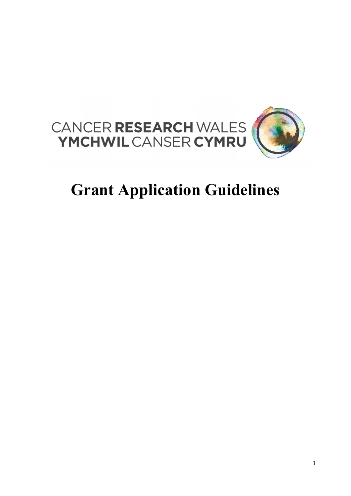

# Grant Application Guidelines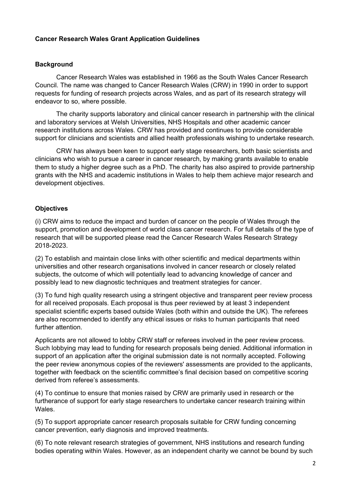# Cancer Research Wales Grant Application Guidelines

## **Background**

Cancer Research Wales was established in 1966 as the South Wales Cancer Research Council. The name was changed to Cancer Research Wales (CRW) in 1990 in order to support requests for funding of research projects across Wales, and as part of its research strategy will endeavor to so, where possible.

The charity supports laboratory and clinical cancer research in partnership with the clinical and laboratory services at Welsh Universities, NHS Hospitals and other academic cancer research institutions across Wales. CRW has provided and continues to provide considerable support for clinicians and scientists and allied health professionals wishing to undertake research.

CRW has always been keen to support early stage researchers, both basic scientists and clinicians who wish to pursue a career in cancer research, by making grants available to enable them to study a higher degree such as a PhD. The charity has also aspired to provide partnership grants with the NHS and academic institutions in Wales to help them achieve major research and development objectives.

# **Objectives**

(i) CRW aims to reduce the impact and burden of cancer on the people of Wales through the support, promotion and development of world class cancer research. For full details of the type of research that will be supported please read the Cancer Research Wales Research Strategy 2018-2023.

(2) To establish and maintain close links with other scientific and medical departments within universities and other research organisations involved in cancer research or closely related subjects, the outcome of which will potentially lead to advancing knowledge of cancer and possibly lead to new diagnostic techniques and treatment strategies for cancer.

(3) To fund high quality research using a stringent objective and transparent peer review process for all received proposals. Each proposal is thus peer reviewed by at least 3 independent specialist scientific experts based outside Wales (both within and outside the UK). The referees are also recommended to identify any ethical issues or risks to human participants that need further attention.

Applicants are not allowed to lobby CRW staff or referees involved in the peer review process. Such lobbying may lead to funding for research proposals being denied. Additional information in support of an application after the original submission date is not normally accepted. Following the peer review anonymous copies of the reviewers' assessments are provided to the applicants, together with feedback on the scientific committee's final decision based on competitive scoring derived from referee's assessments.

(4) To continue to ensure that monies raised by CRW are primarily used in research or the furtherance of support for early stage researchers to undertake cancer research training within Wales.

(5) To support appropriate cancer research proposals suitable for CRW funding concerning cancer prevention, early diagnosis and improved treatments.

(6) To note relevant research strategies of government, NHS institutions and research funding bodies operating within Wales. However, as an independent charity we cannot be bound by such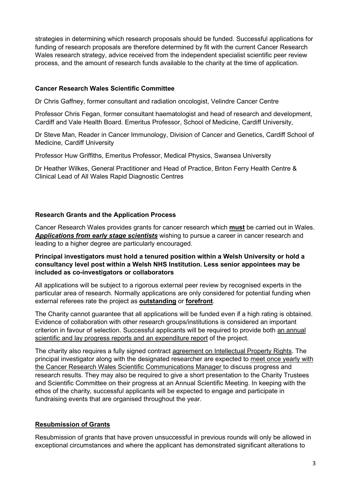strategies in determining which research proposals should be funded. Successful applications for funding of research proposals are therefore determined by fit with the current Cancer Research Wales research strategy, advice received from the independent specialist scientific peer review process, and the amount of research funds available to the charity at the time of application.

## Cancer Research Wales Scientific Committee

Dr Chris Gaffney, former consultant and radiation oncologist, Velindre Cancer Centre

Professor Chris Fegan, former consultant haematologist and head of research and development, Cardiff and Vale Health Board. Emeritus Professor, School of Medicine, Cardiff University,

Dr Steve Man, Reader in Cancer Immunology, Division of Cancer and Genetics, Cardiff School of Medicine, Cardiff University

Professor Huw Griffiths, Emeritus Professor, Medical Physics, Swansea University

Dr Heather Wilkes, General Practitioner and Head of Practice, Briton Ferry Health Centre & Clinical Lead of All Wales Rapid Diagnostic Centres

# Research Grants and the Application Process

Cancer Research Wales provides grants for cancer research which **must** be carried out in Wales. Applications from early stage scientists wishing to pursue a career in cancer research and leading to a higher degree are particularly encouraged.

## Principal investigators must hold a tenured position within a Welsh University or hold a consultancy level post within a Welsh NHS Institution. Less senior appointees may be included as co-investigators or collaborators

All applications will be subject to a rigorous external peer review by recognised experts in the particular area of research. Normally applications are only considered for potential funding when external referees rate the project as outstanding or forefront.

The Charity cannot guarantee that all applications will be funded even if a high rating is obtained. Evidence of collaboration with other research groups/institutions is considered an important criterion in favour of selection. Successful applicants will be required to provide both an annual scientific and lay progress reports and an expenditure report of the project.

The charity also requires a fully signed contract agreement on Intellectual Property Rights. The principal investigator along with the designated researcher are expected to meet once yearly with the Cancer Research Wales Scientific Communications Manager to discuss progress and research results. They may also be required to give a short presentation to the Charity Trustees and Scientific Committee on their progress at an Annual Scientific Meeting. In keeping with the ethos of the charity, successful applicants will be expected to engage and participate in fundraising events that are organised throughout the year.

# Resubmission of Grants

Resubmission of grants that have proven unsuccessful in previous rounds will only be allowed in exceptional circumstances and where the applicant has demonstrated significant alterations to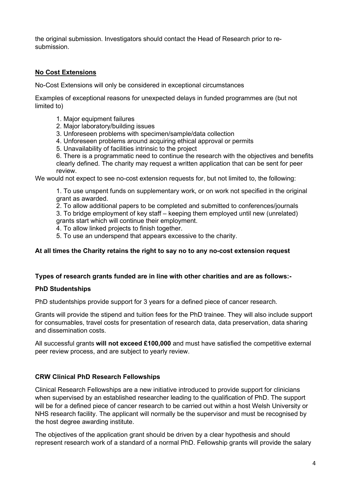the original submission. Investigators should contact the Head of Research prior to resubmission.

# No Cost Extensions

No-Cost Extensions will only be considered in exceptional circumstances

Examples of exceptional reasons for unexpected delays in funded programmes are (but not limited to)

- 1. Major equipment failures
- 2. Major laboratory/building issues
- 3. Unforeseen problems with specimen/sample/data collection
- 4. Unforeseen problems around acquiring ethical approval or permits
- 5. Unavailability of facilities intrinsic to the project

6. There is a programmatic need to continue the research with the objectives and benefits clearly defined. The charity may request a written application that can be sent for peer review.

We would not expect to see no-cost extension requests for, but not limited to, the following:

1. To use unspent funds on supplementary work, or on work not specified in the original grant as awarded.

2. To allow additional papers to be completed and submitted to conferences/journals 3. To bridge employment of key staff – keeping them employed until new (unrelated)

grants start which will continue their employment.

4. To allow linked projects to finish together.

5. To use an underspend that appears excessive to the charity.

## At all times the Charity retains the right to say no to any no-cost extension request

## Types of research grants funded are in line with other charities and are as follows:-

## PhD Studentships

PhD studentships provide support for 3 years for a defined piece of cancer research.

Grants will provide the stipend and tuition fees for the PhD trainee. They will also include support for consumables, travel costs for presentation of research data, data preservation, data sharing and dissemination costs.

All successful grants will not exceed £100,000 and must have satisfied the competitive external peer review process, and are subject to yearly review.

## CRW Clinical PhD Research Fellowships

Clinical Research Fellowships are a new initiative introduced to provide support for clinicians when supervised by an established researcher leading to the qualification of PhD. The support will be for a defined piece of cancer research to be carried out within a host Welsh University or NHS research facility. The applicant will normally be the supervisor and must be recognised by the host degree awarding institute.

The objectives of the application grant should be driven by a clear hypothesis and should represent research work of a standard of a normal PhD. Fellowship grants will provide the salary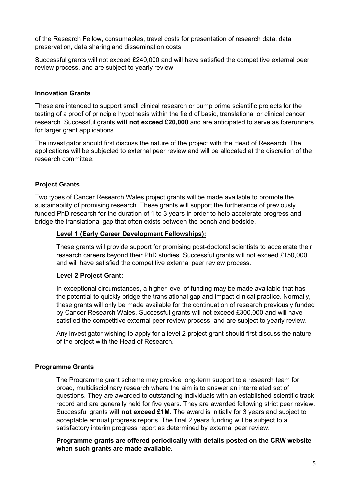of the Research Fellow, consumables, travel costs for presentation of research data, data preservation, data sharing and dissemination costs.

Successful grants will not exceed £240,000 and will have satisfied the competitive external peer review process, and are subject to yearly review.

#### Innovation Grants

These are intended to support small clinical research or pump prime scientific projects for the testing of a proof of principle hypothesis within the field of basic, translational or clinical cancer research. Successful grants will not exceed £20,000 and are anticipated to serve as forerunners for larger grant applications.

The investigator should first discuss the nature of the project with the Head of Research. The applications will be subjected to external peer review and will be allocated at the discretion of the research committee.

## Project Grants

Two types of Cancer Research Wales project grants will be made available to promote the sustainability of promising research. These grants will support the furtherance of previously funded PhD research for the duration of 1 to 3 years in order to help accelerate progress and bridge the translational gap that often exists between the bench and bedside.

#### Level 1 (Early Career Development Fellowships):

These grants will provide support for promising post-doctoral scientists to accelerate their research careers beyond their PhD studies. Successful grants will not exceed £150,000 and will have satisfied the competitive external peer review process.

#### Level 2 Project Grant:

In exceptional circumstances, a higher level of funding may be made available that has the potential to quickly bridge the translational gap and impact clinical practice. Normally, these grants will only be made available for the continuation of research previously funded by Cancer Research Wales. Successful grants will not exceed £300,000 and will have satisfied the competitive external peer review process, and are subject to yearly review.

Any investigator wishing to apply for a level 2 project grant should first discuss the nature of the project with the Head of Research.

#### Programme Grants

The Programme grant scheme may provide long-term support to a research team for broad, multidisciplinary research where the aim is to answer an interrelated set of questions. They are awarded to outstanding individuals with an established scientific track record and are generally held for five years. They are awarded following strict peer review. Successful grants will not exceed £1M. The award is initially for 3 years and subject to acceptable annual progress reports. The final 2 years funding will be subject to a satisfactory interim progress report as determined by external peer review.

Programme grants are offered periodically with details posted on the CRW website when such grants are made available.